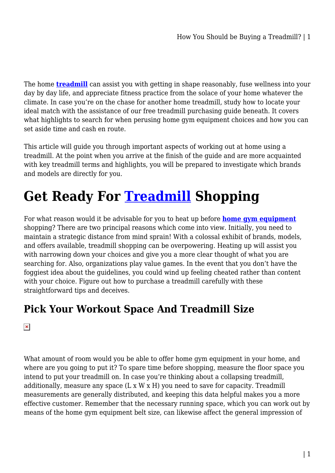The home **[treadmill](https://treadmilloffers.com.au/)** can assist you with getting in shape reasonably, fuse wellness into your day by day life, and appreciate fitness practice from the solace of your home whatever the climate. In case you're on the chase for another home treadmill, study how to locate your ideal match with the assistance of our free treadmill purchasing guide beneath. It covers what highlights to search for when perusing home gym equipment choices and how you can set aside time and cash en route.

This article will guide you through important aspects of working out at home using a treadmill. At the point when you arrive at the finish of the guide and are more acquainted with key treadmill terms and highlights, you will be prepared to investigate which brands and models are directly for you.

# **Get Ready For [Treadmill](https://treadmilloffers.com.au/treadmill/) Shopping**

For what reason would it be advisable for you to heat up before **[home gym equipment](https://treadmilloffers.com.au/)** shopping? There are two principal reasons which come into view. Initially, you need to maintain a strategic distance from mind sprain! With a colossal exhibit of brands, models, and offers available, treadmill shopping can be overpowering. Heating up will assist you with narrowing down your choices and give you a more clear thought of what you are searching for. Also, organizations play value games. In the event that you don't have the foggiest idea about the guidelines, you could wind up feeling cheated rather than content with your choice. Figure out how to purchase a treadmill carefully with these straightforward tips and deceives.

#### **Pick Your Workout Space And Treadmill Size**

#### $\pmb{\times}$

What amount of room would you be able to offer home gym equipment in your home, and where are you going to put it? To spare time before shopping, measure the floor space you intend to put your treadmill on. In case you're thinking about a collapsing treadmill, additionally, measure any space (L x W x H) you need to save for capacity. Treadmill measurements are generally distributed, and keeping this data helpful makes you a more effective customer. Remember that the necessary running space, which you can work out by means of the home gym equipment belt size, can likewise affect the general impression of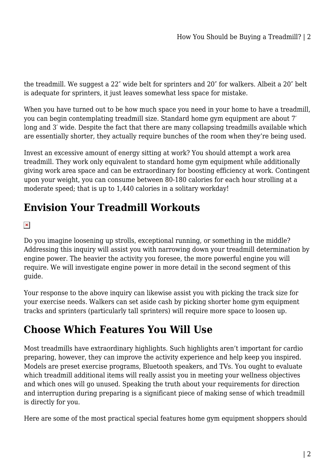the treadmill. We suggest a 22″ wide belt for sprinters and 20″ for walkers. Albeit a 20″ belt is adequate for sprinters, it just leaves somewhat less space for mistake.

When you have turned out to be how much space you need in your home to have a treadmill, you can begin contemplating treadmill size. Standard home gym equipment are about 7′ long and 3' wide. Despite the fact that there are many collapsing treadmills available which are essentially shorter, they actually require bunches of the room when they're being used.

Invest an excessive amount of energy sitting at work? You should attempt a work area treadmill. They work only equivalent to standard home gym equipment while additionally giving work area space and can be extraordinary for boosting efficiency at work. Contingent upon your weight, you can consume between 80-180 calories for each hour strolling at a moderate speed; that is up to 1,440 calories in a solitary workday!

# **Envision Your Treadmill Workouts**

 $\pmb{\times}$ 

Do you imagine loosening up strolls, exceptional running, or something in the middle? Addressing this inquiry will assist you with narrowing down your treadmill determination by engine power. The heavier the activity you foresee, the more powerful engine you will require. We will investigate engine power in more detail in the second segment of this guide.

Your response to the above inquiry can likewise assist you with picking the track size for your exercise needs. Walkers can set aside cash by picking shorter home gym equipment tracks and sprinters (particularly tall sprinters) will require more space to loosen up.

### **Choose Which Features You Will Use**

Most treadmills have extraordinary highlights. Such highlights aren't important for cardio preparing, however, they can improve the activity experience and help keep you inspired. Models are preset exercise programs, Bluetooth speakers, and TVs. You ought to evaluate which treadmill additional items will really assist you in meeting your wellness objectives and which ones will go unused. Speaking the truth about your requirements for direction and interruption during preparing is a significant piece of making sense of which treadmill is directly for you.

Here are some of the most practical special features home gym equipment shoppers should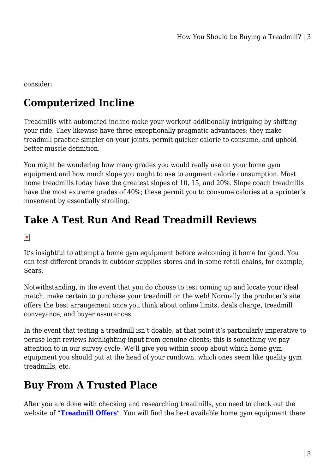consider:

# **Computerized Incline**

Treadmills with automated incline make your workout additionally intriguing by shifting your ride. They likewise have three exceptionally pragmatic advantages: they make treadmill practice simpler on your joints, permit quicker calorie to consume, and uphold better muscle definition.

You might be wondering how many grades you would really use on your home gym equipment and how much slope you ought to use to augment calorie consumption. Most home treadmills today have the greatest slopes of 10, 15, and 20%. Slope coach treadmills have the most extreme grades of 40%; these permit you to consume calories at a sprinter's movement by essentially strolling.

# **Take A Test Run And Read Treadmill Reviews**

#### $\pmb{\times}$

It's insightful to attempt a home gym equipment before welcoming it home for good. You can test different brands in outdoor supplies stores and in some retail chains, for example, Sears.

Notwithstanding, in the event that you do choose to test coming up and locate your ideal match, make certain to purchase your treadmill on the web! Normally the producer's site offers the best arrangement once you think about online limits, deals charge, treadmill conveyance, and buyer assurances.

In the event that testing a treadmill isn't doable, at that point it's particularly imperative to peruse legit reviews highlighting input from genuine clients; this is something we pay attention to in our survey cycle. We'll give you within scoop about which home gym equipment you should put at the head of your rundown, which ones seem like quality gym treadmills, etc.

### **Buy From A Trusted Place**

After you are done with checking and researching treadmills, you need to check out the website of "**[Treadmill Offers](https://treadmilloffers.com.au/)**". You will find the best available home gym equipment there